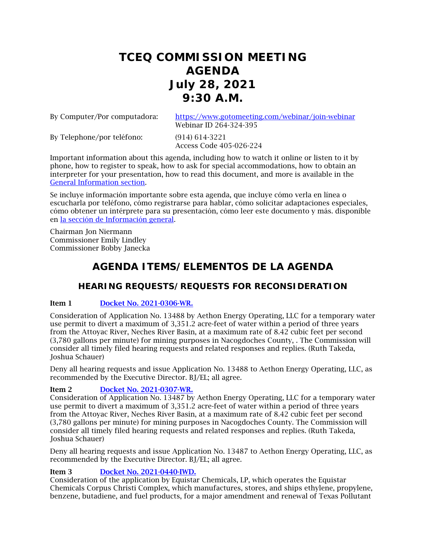# **TCEQ COMMISSION MEETING AGENDA July 28, 2021 9:30 A.M.**

By Computer/Por computadora: <https://www.gotomeeting.com/webinar/join-webinar> Webinar ID 264-324-395

By Telephone/por teléfono: (914) 614-3221

Access Code 405-026-224

Important information about this agenda, including how to watch it online or listen to it by phone, how to register to speak, how to ask for special accommodations, how to obtain an interpreter for your presentation, how to read this document, and more is available in the [General Information section.](#page-5-0)

Se incluye información importante sobre esta agenda, que incluye cómo verla en línea o escucharla por teléfono, cómo registrarse para hablar, cómo solicitar adaptaciones especiales, cómo obtener un intérprete para su presentación, cómo leer este documento y más. disponible en [la sección de Información general.](#page-5-0)

Chairman Jon Niermann Commissioner Emily Lindley Commissioner Bobby Janecka

# **AGENDA ITEMS/ELEMENTOS DE LA AGENDA**

# **HEARING REQUESTS/REQUESTS FOR RECONSIDERATION**

# Item 1 [Docket No. 2021-0306-WR.](http://www.tceq.texas.gov/assets/public/comm_exec/agendas/comm/backup/Agendas/2021/07-28-2021/aethon_0306.pdf)

Consideration of Application No. 13488 by Aethon Energy Operating, LLC for a temporary water use permit to divert a maximum of 3,351.2 acre-feet of water within a period of three years from the Attoyac River, Neches River Basin, at a maximum rate of 8.42 cubic feet per second (3,780 gallons per minute) for mining purposes in Nacogdoches County, . The Commission will consider all timely filed hearing requests and related responses and replies. (Ruth Takeda, Joshua Schauer)

Deny all hearing requests and issue Application No. 13488 to Aethon Energy Operating, LLC, as recommended by the Executive Director. BJ/EL; all agree.

# Item 2 [Docket No. 2021-0307-WR.](http://www.tceq.texas.gov/assets/public/comm_exec/agendas/comm/backup/Agendas/2021/07-28-2021/aethon_0307.pdf)

Consideration of Application No. 13487 by Aethon Energy Operating, LLC for a temporary water use permit to divert a maximum of 3,351.2 acre-feet of water within a period of three years from the Attoyac River, Neches River Basin, at a maximum rate of 8.42 cubic feet per second (3,780 gallons per minute) for mining purposes in Nacogdoches County. The Commission will consider all timely filed hearing requests and related responses and replies. (Ruth Takeda, Joshua Schauer)

Deny all hearing requests and issue Application No. 13487 to Aethon Energy Operating, LLC, as recommended by the Executive Director. BJ/EL; all agree.

# Item 3 [Docket No. 2021-0440-IWD.](http://www.tceq.texas.gov/assets/public/comm_exec/agendas/comm/backup/Agendas/2021/07-28-2021/equistar.pdf)

Consideration of the application by Equistar Chemicals, LP, which operates the Equistar Chemicals Corpus Christi Complex, which manufactures, stores, and ships ethylene, propylene, benzene, butadiene, and fuel products, for a major amendment and renewal of Texas Pollutant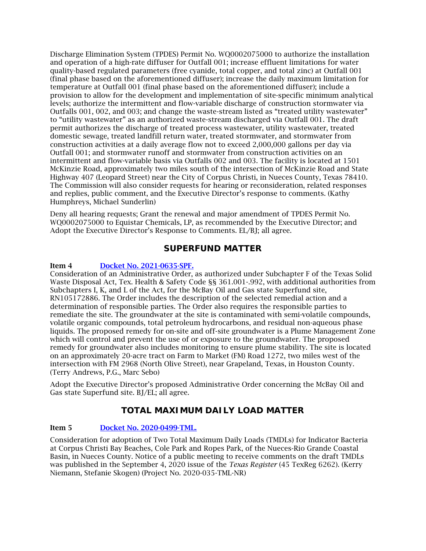Discharge Elimination System (TPDES) Permit No. WQ0002075000 to authorize the installation and operation of a high-rate diffuser for Outfall 001; increase effluent limitations for water quality-based regulated parameters (free cyanide, total copper, and total zinc) at Outfall 001 (final phase based on the aforementioned diffuser); increase the daily maximum limitation for temperature at Outfall 001 (final phase based on the aforementioned diffuser); include a provision to allow for the development and implementation of site-specific minimum analytical levels; authorize the intermittent and flow-variable discharge of construction stormwater via Outfalls 001, 002, and 003; and change the waste-stream listed as "treated utility wastewater" to "utility wastewater" as an authorized waste-stream discharged via Outfall 001. The draft permit authorizes the discharge of treated process wastewater, utility wastewater, treated domestic sewage, treated landfill return water, treated stormwater, and stormwater from construction activities at a daily average flow not to exceed 2,000,000 gallons per day via Outfall 001; and stormwater runoff and stormwater from construction activities on an intermittent and flow-variable basis via Outfalls 002 and 003. The facility is located at 1501 McKinzie Road, approximately two miles south of the intersection of McKinzie Road and State Highway 407 (Leopard Street) near the City of Corpus Christi, in Nueces County, Texas 78410. The Commission will also consider requests for hearing or reconsideration, related responses and replies, public comment, and the Executive Director's response to comments. (Kathy Humphreys, Michael Sunderlin)

Deny all hearing requests; Grant the renewal and major amendment of TPDES Permit No. WQ0002075000 to Equistar Chemicals, LP, as recommended by the Executive Director; and Adopt the Executive Director's Response to Comments. EL/BJ; all agree.

# **SUPERFUND MATTER**

# Item 4 [Docket No. 2021-0635-SPF.](http://www.tceq.texas.gov/assets/public/comm_exec/agendas/comm/backup/Agendas/2021/07-28-2021/0635SPF.pdf)

Consideration of an Administrative Order, as authorized under Subchapter F of the Texas Solid Waste Disposal Act, Tex. Health & Safety Code §§ 361.001-.992, with additional authorities from Subchapters I, K, and L of the Act, for the McBay Oil and Gas state Superfund site, RN105172886. The Order includes the description of the selected remedial action and a determination of responsible parties. The Order also requires the responsible parties to remediate the site. The groundwater at the site is contaminated with semi-volatile compounds, volatile organic compounds, total petroleum hydrocarbons, and residual non-aqueous phase liquids. The proposed remedy for on-site and off-site groundwater is a Plume Management Zone which will control and prevent the use of or exposure to the groundwater. The proposed remedy for groundwater also includes monitoring to ensure plume stability. The site is located on an approximately 20-acre tract on Farm to Market (FM) Road 1272, two miles west of the intersection with FM 2968 (North Olive Street), near Grapeland, Texas, in Houston County. (Terry Andrews, P.G., Marc Sebo)

Adopt the Executive Director's proposed Administrative Order concerning the McBay Oil and Gas state Superfund site. BJ/EL; all agree.

# **TOTAL MAXIMUM DAILY LOAD MATTER**

# Item 5 [Docket No. 2020-0499-TML.](http://www.tceq.texas.gov/assets/public/comm_exec/agendas/comm/backup/Agendas/2021/07-28-2021/0499TML.pdf)

Consideration for adoption of Two Total Maximum Daily Loads (TMDLs) for Indicator Bacteria at Corpus Christi Bay Beaches, Cole Park and Ropes Park, of the Nueces-Rio Grande Coastal Basin, in Nueces County. Notice of a public meeting to receive comments on the draft TMDLs was published in the September 4, 2020 issue of the *Texas Register* (45 TexReg 6262). (Kerry Niemann, Stefanie Skogen) (Project No. 2020-035-TML-NR)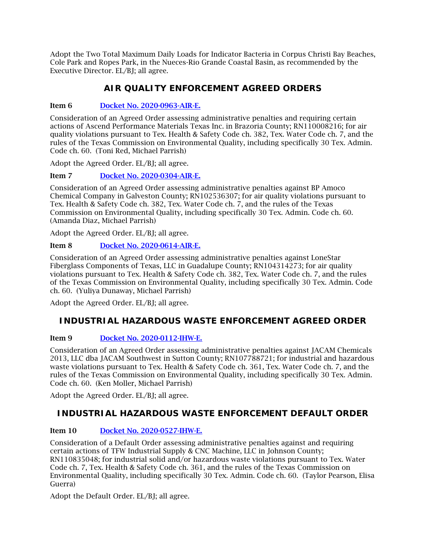Adopt the Two Total Maximum Daily Loads for Indicator Bacteria in Corpus Christi Bay Beaches, Cole Park and Ropes Park, in the Nueces-Rio Grande Coastal Basin, as recommended by the Executive Director. EL/BJ; all agree.

# **AIR QUALITY ENFORCEMENT AGREED ORDERS**

# Item 6 [Docket No. 2020-0963-AIR-E.](http://www.tceq.texas.gov/assets/public/comm_exec/agendas/comm/backup/Agendas/2021/07-28-2021/0963AIR.pdf)

Consideration of an Agreed Order assessing administrative penalties and requiring certain actions of Ascend Performance Materials Texas Inc. in Brazoria County; RN110008216; for air quality violations pursuant to Tex. Health & Safety Code ch. 382, Tex. Water Code ch. 7, and the rules of the Texas Commission on Environmental Quality, including specifically 30 Tex. Admin. Code ch. 60. (Toni Red, Michael Parrish)

Adopt the Agreed Order. EL/BJ; all agree.

Item 7 [Docket No. 2020-0304-AIR-E.](http://www.tceq.texas.gov/assets/public/comm_exec/agendas/comm/backup/Agendas/2021/07-28-2021/0304AIR.pdf)

Consideration of an Agreed Order assessing administrative penalties against BP Amoco Chemical Company in Galveston County; RN102536307; for air quality violations pursuant to Tex. Health & Safety Code ch. 382, Tex. Water Code ch. 7, and the rules of the Texas Commission on Environmental Quality, including specifically 30 Tex. Admin. Code ch. 60. (Amanda Diaz, Michael Parrish)

Adopt the Agreed Order. EL/BJ; all agree.

# Item 8 [Docket No. 2020-0614-AIR-E.](http://www.tceq.texas.gov/assets/public/comm_exec/agendas/comm/backup/Agendas/2021/07-28-2021/0614AIR.pdf)

Consideration of an Agreed Order assessing administrative penalties against LoneStar Fiberglass Components of Texas, LLC in Guadalupe County; RN104314273; for air quality violations pursuant to Tex. Health & Safety Code ch. 382, Tex. Water Code ch. 7, and the rules of the Texas Commission on Environmental Quality, including specifically 30 Tex. Admin. Code ch. 60. (Yuliya Dunaway, Michael Parrish)

Adopt the Agreed Order. EL/BJ; all agree.

# **INDUSTRIAL HAZARDOUS WASTE ENFORCEMENT AGREED ORDER**

# Item 9 [Docket No. 2020-0112-IHW-E.](http://www.tceq.texas.gov/assets/public/comm_exec/agendas/comm/backup/Agendas/2021/07-28-2021/0112IHW.pdf)

Consideration of an Agreed Order assessing administrative penalties against JACAM Chemicals 2013, LLC dba JACAM Southwest in Sutton County; RN107788721; for industrial and hazardous waste violations pursuant to Tex. Health & Safety Code ch. 361, Tex. Water Code ch. 7, and the rules of the Texas Commission on Environmental Quality, including specifically 30 Tex. Admin. Code ch. 60. (Ken Moller, Michael Parrish)

Adopt the Agreed Order. EL/BJ; all agree.

# **INDUSTRIAL HAZARDOUS WASTE ENFORCEMENT DEFAULT ORDER**

# Item 10 [Docket No. 2020-0527-IHW-E.](http://www.tceq.texas.gov/assets/public/comm_exec/agendas/comm/backup/Agendas/2021/07-28-2021/0527IHW.pdf)

Consideration of a Default Order assessing administrative penalties against and requiring certain actions of TFW Industrial Supply & CNC Machine, LLC in Johnson County; RN110835048; for industrial solid and/or hazardous waste violations pursuant to Tex. Water Code ch. 7, Tex. Health & Safety Code ch. 361, and the rules of the Texas Commission on Environmental Quality, including specifically 30 Tex. Admin. Code ch. 60. (Taylor Pearson, Elisa Guerra)

Adopt the Default Order. EL/BJ; all agree.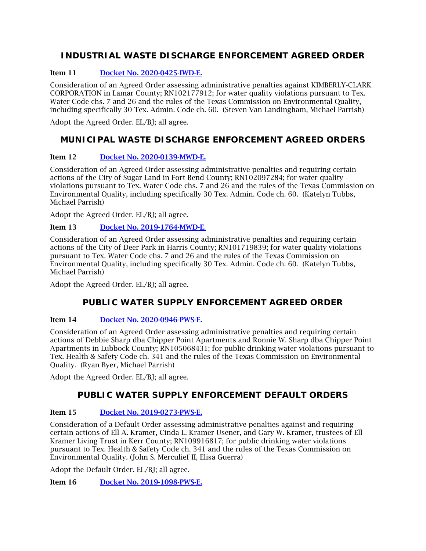# **INDUSTRIAL WASTE DISCHARGE ENFORCEMENT AGREED ORDER**

# Item 11 [Docket No. 2020-0425-IWD-E.](http://www.tceq.texas.gov/assets/public/comm_exec/agendas/comm/backup/Agendas/2021/07-28-2021/0425IWD.pdf)

Consideration of an Agreed Order assessing administrative penalties against KIMBERLY-CLARK CORPORATION in Lamar County; RN102177912; for water quality violations pursuant to Tex. Water Code chs. 7 and 26 and the rules of the Texas Commission on Environmental Quality, including specifically 30 Tex. Admin. Code ch. 60. (Steven Van Landingham, Michael Parrish)

Adopt the Agreed Order. EL/BJ; all agree.

# **MUNICIPAL WASTE DISCHARGE ENFORCEMENT AGREED ORDERS**

# Item 12 [Docket No. 2020-0139-MWD-E.](http://www.tceq.texas.gov/assets/public/comm_exec/agendas/comm/backup/Agendas/2021/07-28-2021/0139MWD.pdf)

Consideration of an Agreed Order assessing administrative penalties and requiring certain actions of the City of Sugar Land in Fort Bend County; RN102097284; for water quality violations pursuant to Tex. Water Code chs. 7 and 26 and the rules of the Texas Commission on Environmental Quality, including specifically 30 Tex. Admin. Code ch. 60. (Katelyn Tubbs, Michael Parrish)

Adopt the Agreed Order. EL/BJ; all agree.

# Item 13 [Docket No. 2019-1764-MWD-E](http://www.tceq.texas.gov/assets/public/comm_exec/agendas/comm/backup/Agendas/2021/07-28-2021/1764MWD.pdf)[.](http://www.tceq.texas.gov/assets/public/comm_exec/agendas/comm/backup/Agendas/2021/07-28-2021/1764MWD.pdf)

Consideration of an Agreed Order assessing administrative penalties and requiring certain actions of the City of Deer Park in Harris County; RN101719839; for water quality violations pursuant to Tex. Water Code chs. 7 and 26 and the rules of the Texas Commission on Environmental Quality, including specifically 30 Tex. Admin. Code ch. 60. (Katelyn Tubbs, Michael Parrish)

Adopt the Agreed Order. EL/BI: all agree.

# **PUBLIC WATER SUPPLY ENFORCEMENT AGREED ORDER**

# Item 14 [Docket No. 2020-0946-PWS-E.](http://www.tceq.texas.gov/assets/public/comm_exec/agendas/comm/backup/Agendas/2021/07-28-2021/0946PWS.pdf)

Consideration of an Agreed Order assessing administrative penalties and requiring certain actions of Debbie Sharp dba Chipper Point Apartments and Ronnie W. Sharp dba Chipper Point Apartments in Lubbock County; RN105068431; for public drinking water violations pursuant to Tex. Health & Safety Code ch. 341 and the rules of the Texas Commission on Environmental Quality. (Ryan Byer, Michael Parrish)

Adopt the Agreed Order. EL/BJ; all agree.

# **PUBLIC WATER SUPPLY ENFORCEMENT DEFAULT ORDERS**

# Item 15 [Docket No. 2019-0273-PWS-E.](http://www.tceq.texas.gov/assets/public/comm_exec/agendas/comm/backup/Agendas/2021/07-28-2021/0273PWS.pdf)

Consideration of a Default Order assessing administrative penalties against and requiring certain actions of Ell A. Kramer, Cinda L. Kramer Usener, and Gary W. Kramer, trustees of Ell Kramer Living Trust in Kerr County; RN109916817; for public drinking water violations pursuant to Tex. Health & Safety Code ch. 341 and the rules of the Texas Commission on Environmental Quality. (John S. Merculief II, Elisa Guerra)

Adopt the Default Order. EL/BJ; all agree.

Item 16 [Docket No. 2019-1098-PWS-E.](http://www.tceq.texas.gov/assets/public/comm_exec/agendas/comm/backup/Agendas/2021/07-28-2021/1098PWS.pdf)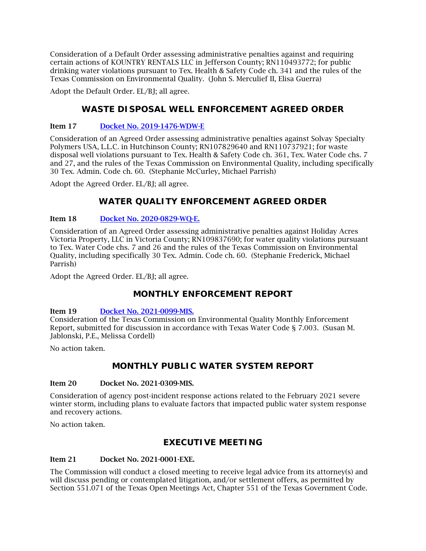Consideration of a Default Order assessing administrative penalties against and requiring certain actions of KOUNTRY RENTALS LLC in Jefferson County; RN110493772; for public drinking water violations pursuant to Tex. Health & Safety Code ch. 341 and the rules of the Texas Commission on Environmental Quality. (John S. Merculief II, Elisa Guerra)

Adopt the Default Order. EL/BJ; all agree.

# **WASTE DISPOSAL WELL ENFORCEMENT AGREED ORDER**

# Item 17 [Docket No. 2019-1476-WDW-E](http://www.tceq.texas.gov/assets/public/comm_exec/agendas/comm/backup/Agendas/2021/07-28-2021/1476WDW.pdf)

Consideration of an Agreed Order assessing administrative penalties against Solvay Specialty Polymers USA, L.L.C. in Hutchinson County; RN107829640 and RN110737921; for waste disposal well violations pursuant to Tex. Health & Safety Code ch. 361, Tex. Water Code chs. 7 and 27, and the rules of the Texas Commission on Environmental Quality, including specifically 30 Tex. Admin. Code ch. 60. (Stephanie McCurley, Michael Parrish)

Adopt the Agreed Order. EL/BJ; all agree.

# **WATER QUALITY ENFORCEMENT AGREED ORDER**

#### Item 18 [Docket No. 2020-0829-WQ-E.](http://www.tceq.texas.gov/assets/public/comm_exec/agendas/comm/backup/Agendas/2021/07-28-2021/0829WQ.pdf)

Consideration of an Agreed Order assessing administrative penalties against Holiday Acres Victoria Property, LLC in Victoria County; RN109837690; for water quality violations pursuant to Tex. Water Code chs. 7 and 26 and the rules of the Texas Commission on Environmental Quality, including specifically 30 Tex. Admin. Code ch. 60. (Stephanie Frederick, Michael Parrish)

Adopt the Agreed Order. EL/BJ; all agree.

# **MONTHLY ENFORCEMENT REPORT**

#### Item 19 [Docket No. 2021-0099-MIS.](http://www.tceq.texas.gov/assets/public/comm_exec/agendas/comm/backup/Agendas/2021/07-28-2021/0099MIS.pdf)

Consideration of the Texas Commission on Environmental Quality Monthly Enforcement Report, submitted for discussion in accordance with Texas Water Code § 7.003. (Susan M. Jablonski, P.E., Melissa Cordell)

No action taken.

# **MONTHLY PUBLIC WATER SYSTEM REPORT**

#### Item 20 Docket No. 2021-0309-MIS.

Consideration of agency post-incident response actions related to the February 2021 severe winter storm, including plans to evaluate factors that impacted public water system response and recovery actions.

No action taken.

# **EXECUTIVE MEETING**

#### Item 21 Docket No. 2021-0001-EXE.

The Commission will conduct a closed meeting to receive legal advice from its attorney(s) and will discuss pending or contemplated litigation, and/or settlement offers, as permitted by Section 551.071 of the Texas Open Meetings Act, Chapter 551 of the Texas Government Code.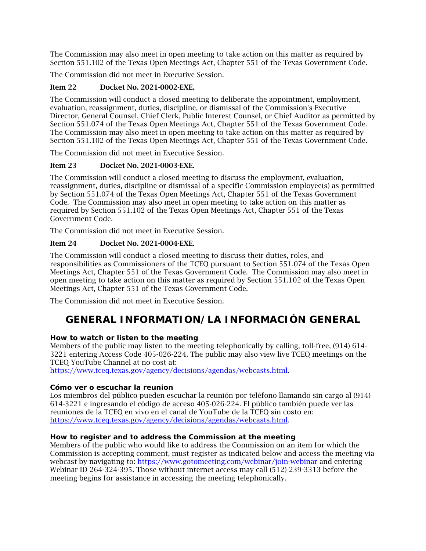The Commission may also meet in open meeting to take action on this matter as required by Section 551.102 of the Texas Open Meetings Act, Chapter 551 of the Texas Government Code.

The Commission did not meet in Executive Session.

# Item 22 Docket No. 2021-0002-EXE.

The Commission will conduct a closed meeting to deliberate the appointment, employment, evaluation, reassignment, duties, discipline, or dismissal of the Commission's Executive Director, General Counsel, Chief Clerk, Public Interest Counsel, or Chief Auditor as permitted by Section 551.074 of the Texas Open Meetings Act, Chapter 551 of the Texas Government Code. The Commission may also meet in open meeting to take action on this matter as required by Section 551.102 of the Texas Open Meetings Act, Chapter 551 of the Texas Government Code.

The Commission did not meet in Executive Session.

# Item 23 Docket No. 2021-0003-EXE.

The Commission will conduct a closed meeting to discuss the employment, evaluation, reassignment, duties, discipline or dismissal of a specific Commission employee(s) as permitted by Section 551.074 of the Texas Open Meetings Act, Chapter 551 of the Texas Government Code. The Commission may also meet in open meeting to take action on this matter as required by Section 551.102 of the Texas Open Meetings Act, Chapter 551 of the Texas Government Code.

The Commission did not meet in Executive Session.

# Item 24 Docket No. 2021-0004-EXE.

The Commission will conduct a closed meeting to discuss their duties, roles, and responsibilities as Commissioners of the TCEQ pursuant to Section 551.074 of the Texas Open Meetings Act, Chapter 551 of the Texas Government Code. The Commission may also meet in open meeting to take action on this matter as required by Section 551.102 of the Texas Open Meetings Act, Chapter 551 of the Texas Government Code.

<span id="page-5-0"></span>The Commission did not meet in Executive Session.

# **GENERAL INFORMATION/LA INFORMACIÓN GENERAL**

# **How to watch or listen to the meeting**

Members of the public may listen to the meeting telephonically by calling, toll-free, (914) 614- 3221 entering Access Code 405-026-224. The public may also view live TCEQ meetings on the TCEQ YouTube Channel at no cost at:

[https://www.tceq.texas.gov/agency/decisions/agendas/webcasts.html.](https://www.tceq.texas.gov/agency/decisions/agendas/webcasts.html)

# **Cómo ver o escuchar la reunion**

Los miembros del público pueden escuchar la reunión por teléfono llamando sin cargo al (914) 614-3221 e ingresando el código de acceso 405-026-224. El público también puede ver las reuniones de la TCEQ en vivo en el canal de YouTube de la TCEQ sin costo en: [https://www.tceq.texas.gov/agency/decisions/agendas/webcasts.html.](https://www.tceq.texas.gov/agency/decisions/agendas/webcasts.html)

# **How to register and to address the Commission at the meeting**

Members of the public who would like to address the Commission on an item for which the Commission is accepting comment, must register as indicated below and access the meeting via webcast by navigating to:<https://www.gotomeeting.com/webinar/join-webinar> and entering Webinar ID 264-324-395. Those without internet access may call (512) 239-3313 before the meeting begins for assistance in accessing the meeting telephonically.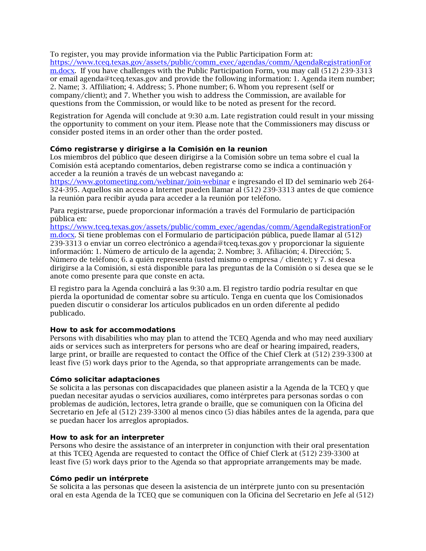To register, you may provide information via the Public Participation Form at: [https://www.tceq.texas.gov/assets/public/comm\\_exec/agendas/comm/AgendaRegistrationFor](https://www.tceq.texas.gov/assets/public/comm_exec/agendas/comm/AgendaRegistrationForm.docx) [m.docx.](https://www.tceq.texas.gov/assets/public/comm_exec/agendas/comm/AgendaRegistrationForm.docx) If you have challenges with the Public Participation Form, you may call (512) 239-3313 or email agenda@tceq.texas.gov and provide the following information: 1. Agenda item number; 2. Name; 3. Affiliation; 4. Address; 5. Phone number; 6. Whom you represent (self or company/client); and 7. Whether you wish to address the Commission, are available for questions from the Commission, or would like to be noted as present for the record.

Registration for Agenda will conclude at 9:30 a.m. Late registration could result in your missing the opportunity to comment on your item. Please note that the Commissioners may discuss or consider posted items in an order other than the order posted.

#### **Cómo registrarse y dirigirse a la Comisión en la reunion**

Los miembros del público que deseen dirigirse a la Comisión sobre un tema sobre el cual la Comisión está aceptando comentarios, deben registrarse como se indica a continuación y acceder a la reunión a través de un webcast navegando a:

<https://www.gotomeeting.com/webinar/join-webinar> e ingresando el ID del seminario web 264- 324-395. Aquellos sin acceso a Internet pueden llamar al (512) 239-3313 antes de que comience la reunión para recibir ayuda para acceder a la reunión por teléfono.

Para registrarse, puede proporcionar información a través del Formulario de participación pública en:

[https://www.tceq.texas.gov/assets/public/comm\\_exec/agendas/comm/AgendaRegistrationFor](https://www.tceq.texas.gov/assets/public/comm_exec/agendas/comm/AgendaRegistrationForm.docx) [m.docx.](https://www.tceq.texas.gov/assets/public/comm_exec/agendas/comm/AgendaRegistrationForm.docx) Si tiene problemas con el Formulario de participación pública, puede llamar al (512) 239-3313 o enviar un correo electrónico a agenda@tceq.texas.gov y proporcionar la siguiente información: 1. Número de artículo de la agenda; 2. Nombre; 3. Afiliación; 4. Dirección; 5. Número de teléfono; 6. a quién representa (usted mismo o empresa / cliente); y 7. si desea dirigirse a la Comisión, si está disponible para las preguntas de la Comisión o si desea que se le anote como presente para que conste en acta.

El registro para la Agenda concluirá a las 9:30 a.m. El registro tardío podría resultar en que pierda la oportunidad de comentar sobre su artículo. Tenga en cuenta que los Comisionados pueden discutir o considerar los artículos publicados en un orden diferente al pedido publicado.

# **How to ask for accommodations**

Persons with disabilities who may plan to attend the TCEQ Agenda and who may need auxiliary aids or services such as interpreters for persons who are deaf or hearing impaired, readers, large print, or braille are requested to contact the Office of the Chief Clerk at (512) 239-3300 at least five (5) work days prior to the Agenda, so that appropriate arrangements can be made.

#### **Cómo solicitar adaptaciones**

Se solicita a las personas con discapacidades que planeen asistir a la Agenda de la TCEQ y que puedan necesitar ayudas o servicios auxiliares, como intérpretes para personas sordas o con problemas de audición, lectores, letra grande o braille, que se comuniquen con la Oficina del Secretario en Jefe al (512) 239-3300 al menos cinco (5) días hábiles antes de la agenda, para que se puedan hacer los arreglos apropiados.

#### **How to ask for an interpreter**

Persons who desire the assistance of an interpreter in conjunction with their oral presentation at this TCEQ Agenda are requested to contact the Office of Chief Clerk at (512) 239-3300 at least five (5) work days prior to the Agenda so that appropriate arrangements may be made.

#### **Cómo pedir un intérprete**

Se solicita a las personas que deseen la asistencia de un intérprete junto con su presentación oral en esta Agenda de la TCEQ que se comuniquen con la Oficina del Secretario en Jefe al (512)